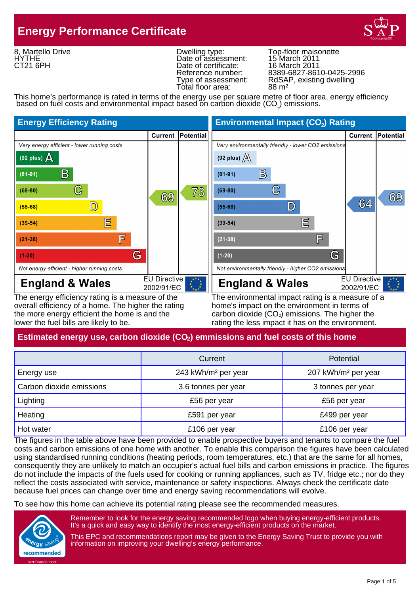# **Energy Performance Certificate**



8, Martello Drive HYTHE CT21 6PH

Dwelling type: Top-floor maisonette<br>Date of assessment: 15 March 2011<br>Date of certificate: 16 March 2011 Date of assessment: Date of certificate: Total floor area:

Reference number: 8389-6827-8610-0425-2996 Type of assessment: RdSAP, existing dwelling<br>Total floor area: 88 m<sup>2</sup>

This home's performance is rated in terms of the energy use per square metre of floor area, energy efficiency based on fuel costs and environmental impact based on carbon dioxide  $(CO<sub>2</sub>)$  emissions.



overall efficiency of a home. The higher the rating home's impact on the environment in terms of the more energy efficient the home is and the carbon dioxide  $(CO<sub>2</sub>)$  emissions. The higher the lower the fuel bills are likely to be. The rating the less impact it has on the environment.

The energy efficiency rating is a measure of the The environmental impact rating is a measure of a

# **Estimated energy use, carbon dioxide (CO<sub>2</sub>) emmissions and fuel costs of this home**

|                          | Current                         | Potential                       |
|--------------------------|---------------------------------|---------------------------------|
| Energy use               | 243 kWh/m <sup>2</sup> per year | 207 kWh/m <sup>2</sup> per year |
| Carbon dioxide emissions | 3.6 tonnes per year             | 3 tonnes per year               |
| Lighting                 | £56 per year                    | £56 per year                    |
| Heating                  | £591 per year                   | £499 per year                   |
| Hot water                | £106 per year                   | £106 per year                   |

The figures in the table above have been provided to enable prospective buyers and tenants to compare the fuel costs and carbon emissions of one home with another. To enable this comparison the figures have been calculated using standardised running conditions (heating periods, room temperatures, etc.) that are the same for all homes, consequently they are unlikely to match an occupier's actual fuel bills and carbon emissions in practice. The figures do not include the impacts of the fuels used for cooking or running appliances, such as TV, fridge etc.; nor do they reflect the costs associated with service, maintenance or safety inspections. Always check the certificate date because fuel prices can change over time and energy saving recommendations will evolve.

To see how this home can achieve its potential rating please see the recommended measures.



Remember to look for the energy saving recommended logo when buying energy-efficient products. It's a quick and easy way to identify the most energy-efficient products on the market.

This EPC and recommendations report may be given to the Energy Saving Trust to provide you with information on improving your dwelling's energy performance.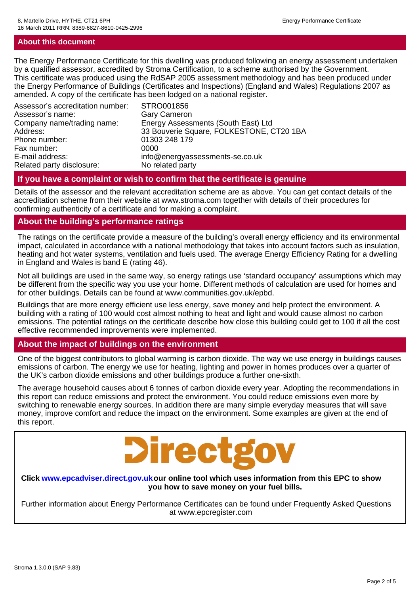#### **About this document**

The Energy Performance Certificate for this dwelling was produced following an energy assessment undertaken by a qualified assessor, accredited by Stroma Certification, to a scheme authorised by the Government. This certificate was produced using the RdSAP 2005 assessment methodology and has been produced under the Energy Performance of Buildings (Certificates and Inspections) (England and Wales) Regulations 2007 as amended. A copy of the certificate has been lodged on a national register.

| STRO001856<br><b>Gary Cameron</b><br>Energy Assessments (South East) Ltd |
|--------------------------------------------------------------------------|
| 33 Bouverie Square, FOLKESTONE, CT20 1BA                                 |
| 01303 248 179                                                            |
| 0000                                                                     |
| info@energyassessments-se.co.uk                                          |
| No related party                                                         |
|                                                                          |

#### **If you have a complaint or wish to confirm that the certificate is genuine**

Details of the assessor and the relevant accreditation scheme are as above. You can get contact details of the accreditation scheme from their website at www.stroma.com together with details of their procedures for confirming authenticity of a certificate and for making a complaint.

#### **About the building's performance ratings**

The ratings on the certificate provide a measure of the building's overall energy efficiency and its environmental impact, calculated in accordance with a national methodology that takes into account factors such as insulation, heating and hot water systems, ventilation and fuels used. The average Energy Efficiency Rating for a dwelling in England and Wales is band E (rating 46).

Not all buildings are used in the same way, so energy ratings use 'standard occupancy' assumptions which may be different from the specific way you use your home. Different methods of calculation are used for homes and for other buildings. Details can be found at www.communities.gov.uk/epbd.

Buildings that are more energy efficient use less energy, save money and help protect the environment. A building with a rating of 100 would cost almost nothing to heat and light and would cause almost no carbon emissions. The potential ratings on the certificate describe how close this building could get to 100 if all the cost effective recommended improvements were implemented.

# **About the impact of buildings on the environment**

One of the biggest contributors to global warming is carbon dioxide. The way we use energy in buildings causes emissions of carbon. The energy we use for heating, lighting and power in homes produces over a quarter of the UK's carbon dioxide emissions and other buildings produce a further one-sixth.

The average household causes about 6 tonnes of carbon dioxide every year. Adopting the recommendations in this report can reduce emissions and protect the environment. You could reduce emissions even more by switching to renewable energy sources. In addition there are many simple everyday measures that will save money, improve comfort and reduce the impact on the environment. Some examples are given at the end of this report.



#### **Click www.epcadviser.direct.gov.ukour online tool which uses information from this EPC to show you how to save money on your fuel bills.**

Further information about Energy Performance Certificates can be found under Frequently Asked Questions at www.epcregister.com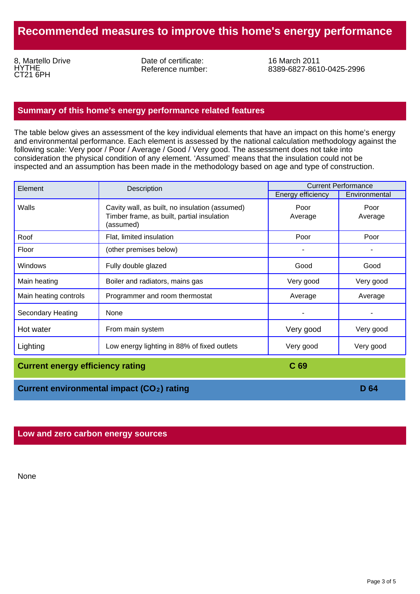# **Recommended measures to improve this home's energy performance**

8, Martello Drive HYTHE CT21 6PH

Date of certificate: Reference number:

16 March 2011 8389-6827-8610-0425-2996

#### **Summary of this home's energy performance related features**

The table below gives an assessment of the key individual elements that have an impact on this home's energy and environmental performance. Each element is assessed by the national calculation methodology against the following scale: Very poor / Poor / Average / Good / Very good. The assessment does not take into consideration the physical condition of any element. 'Assumed' means that the insulation could not be inspected and an assumption has been made in the methodology based on age and type of construction.

| Element                                 | Description                                                                                               | <b>Current Performance</b> |                 |
|-----------------------------------------|-----------------------------------------------------------------------------------------------------------|----------------------------|-----------------|
|                                         |                                                                                                           | <b>Energy efficiency</b>   |                 |
| Walls                                   | Cavity wall, as built, no insulation (assumed)<br>Timber frame, as built, partial insulation<br>(assumed) | Poor<br>Average            | Poor<br>Average |
| Roof                                    | Flat, limited insulation                                                                                  | Poor                       | Poor            |
| Floor                                   | (other premises below)                                                                                    |                            |                 |
| Windows                                 | Fully double glazed                                                                                       | Good                       | Good            |
| Main heating                            | Boiler and radiators, mains gas                                                                           | Very good                  | Very good       |
| Main heating controls                   | Programmer and room thermostat                                                                            | Average                    | Average         |
| <b>Secondary Heating</b>                | None                                                                                                      |                            |                 |
| Hot water                               | From main system                                                                                          | Very good                  | Very good       |
| Lighting                                | Low energy lighting in 88% of fixed outlets                                                               | Very good                  | Very good       |
| <b>Current energy efficiency rating</b> |                                                                                                           | C <sub>69</sub>            |                 |

**Current environmental impact (CO<sub>2</sub>) rating <b>2 2 2 2 D 2 D 64** 

#### **Low and zero carbon energy sources**

None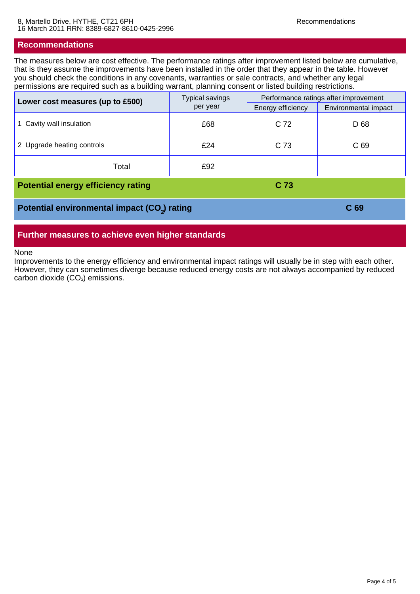#### **Recommendations**

The measures below are cost effective. The performance ratings after improvement listed below are cumulative, that is they assume the improvements have been installed in the order that they appear in the table. However you should check the conditions in any covenants, warranties or sale contracts, and whether any legal permissions are required such as a building warrant, planning consent or listed building restrictions.

| Lower cost measures (up to £500)                         | <b>Typical savings</b><br>per year | Performance ratings after improvement |                      |  |
|----------------------------------------------------------|------------------------------------|---------------------------------------|----------------------|--|
|                                                          |                                    | Energy efficiency                     | Environmental impact |  |
| Cavity wall insulation                                   | £68                                | C 72                                  | D 68                 |  |
| 2 Upgrade heating controls                               | £24                                | C 73                                  | C 69                 |  |
| Total                                                    | £92                                |                                       |                      |  |
| <b>Potential energy efficiency rating</b>                | C <sub>73</sub>                    |                                       |                      |  |
| Potential environmental impact (CO <sub>2</sub> ) rating |                                    | C <sub>69</sub>                       |                      |  |

#### **Further measures to achieve even higher standards**

None

Improvements to the energy efficiency and environmental impact ratings will usually be in step with each other. However, they can sometimes diverge because reduced energy costs are not always accompanied by reduced carbon dioxide  $(CO<sub>2</sub>)$  emissions.